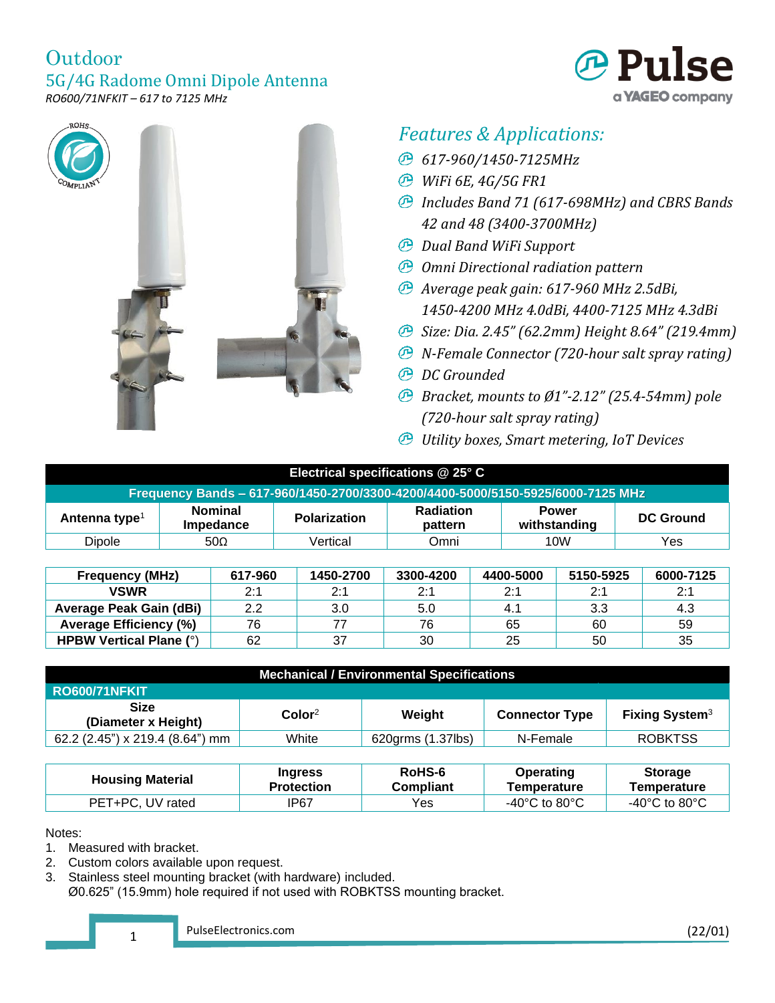



# *Features & Applications:*

- *617-960/1450-7125MHz*
- *WiFi 6E, 4G/5G FR1*
- *Includes Band 71 (617-698MHz) and CBRS Bands 42 and 48 (3400-3700MHz)*
- *Dual Band WiFi Support*
- *Omni Directional radiation pattern*
- *Average peak gain: 617-960 MHz 2.5dBi, 1450-4200 MHz 4.0dBi, 4400-7125 MHz 4.3dBi*
- *Size: Dia. 2.45" (62.2mm) Height 8.64" (219.4mm)*
- *N-Female Connector (720-hour salt spray rating)*
- *DC Grounded*
- *Bracket, mounts to Ø1"-2.12" (25.4-54mm) pole (720-hour salt spray rating)*
- *Utility boxes, Smart metering, IoT Devices*

| Electrical specifications @ 25° C                                               |                             |                     |                             |                              |                  |  |
|---------------------------------------------------------------------------------|-----------------------------|---------------------|-----------------------------|------------------------------|------------------|--|
| Frequency Bands - 617-960/1450-2700/3300-4200/4400-5000/5150-5925/6000-7125 MHz |                             |                     |                             |                              |                  |  |
| Antenna type <sup>1</sup>                                                       | <b>Nominal</b><br>Impedance | <b>Polarization</b> | <b>Radiation</b><br>pattern | <b>Power</b><br>withstanding | <b>DC Ground</b> |  |
| Dipole                                                                          | $50\Omega$                  | Vertical            | Omni                        | 10W                          | Yes              |  |
|                                                                                 |                             |                     |                             |                              |                  |  |
| <b>Frequency (MHz)</b>                                                          | 617-960                     | 1450-2700           | 3300-4200                   | 4400-5000<br>5150-5925       | 6000-7125        |  |

| <b>Frequency (MHz)</b>         | 617-960 | 1450-2700 | 3300-4200 | 4400-5000 | 5150-5925 | 6000-7125 |
|--------------------------------|---------|-----------|-----------|-----------|-----------|-----------|
| <b>VSWR</b>                    | 2:1     | 2:1       | つ・1       | 2.1       | 2.1       | 2:1       |
| Average Peak Gain (dBi)        | 2.2     | 3.0       | 5.0       |           | 3.3       | 4.3       |
| <b>Average Efficiency (%)</b>  | 76      |           | 76        | 65        | 60        | 59        |
| <b>HPBW Vertical Plane (°)</b> | 62      | 37        | 30        | 25        | 50        | 35        |

| <b>Mechanical / Environmental Specifications</b> |                  |                   |                       |                                  |  |
|--------------------------------------------------|------------------|-------------------|-----------------------|----------------------------------|--|
| <b>RO600/71NFKIT</b>                             |                  |                   |                       |                                  |  |
| <b>Size</b><br>(Diameter x Height)               | $\text{Color}^2$ | Weight            | <b>Connector Type</b> | <b>Fixing System<sup>3</sup></b> |  |
| 62.2 (2.45") x 219.4 (8.64") mm                  | White            | 620grms (1.37lbs) | N-Female              | <b>ROBKTSS</b>                   |  |

| <b>Housing Material</b> | <b>Ingress</b> | RoHS-6           | <b>Operating</b>                    | <b>Storage</b>                      |
|-------------------------|----------------|------------------|-------------------------------------|-------------------------------------|
|                         | Protection     | <b>Compliant</b> | Temperature                         | Temperature                         |
| PET+PC, UV rated        | IP67           | Yes.             | -40 $^{\circ}$ C to 80 $^{\circ}$ C | -40 $^{\circ}$ C to 80 $^{\circ}$ C |

Notes:

- 1. Measured with bracket.
- 2. Custom colors available upon request.
- 3. Stainless steel mounting bracket (with hardware) included.
- Ø0.625" (15.9mm) hole required if not used with ROBKTSS mounting bracket.

1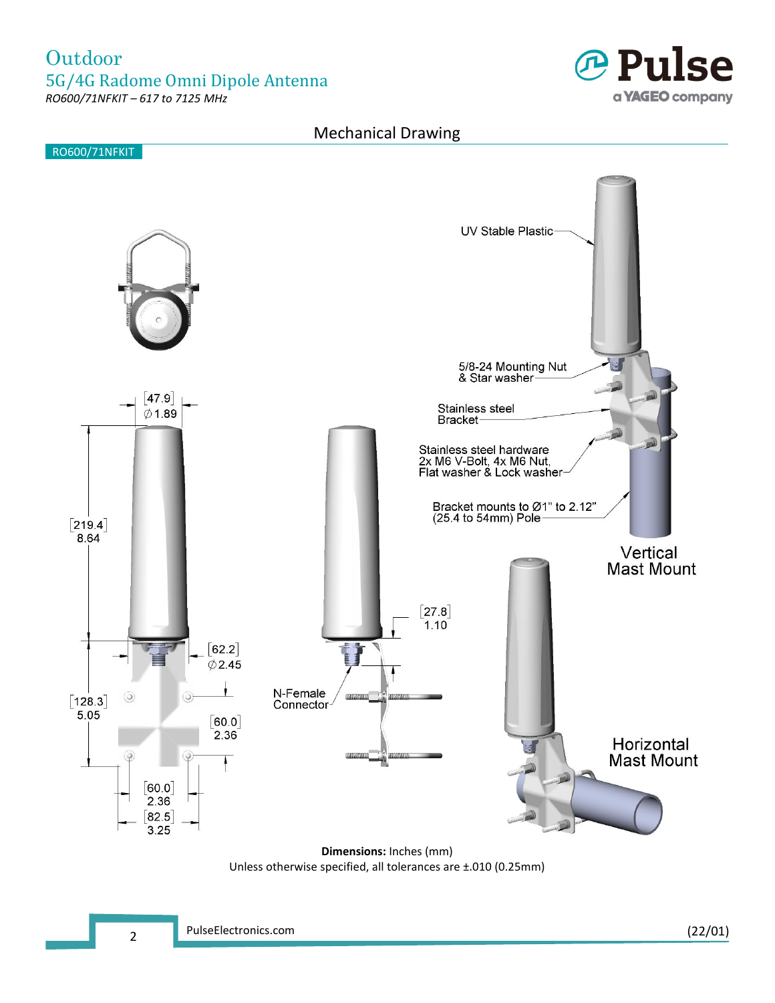

#### Mechanical Drawing



**Dimensions:** Inches (mm) Unless otherwise specified, all tolerances are ±.010 (0.25mm)

2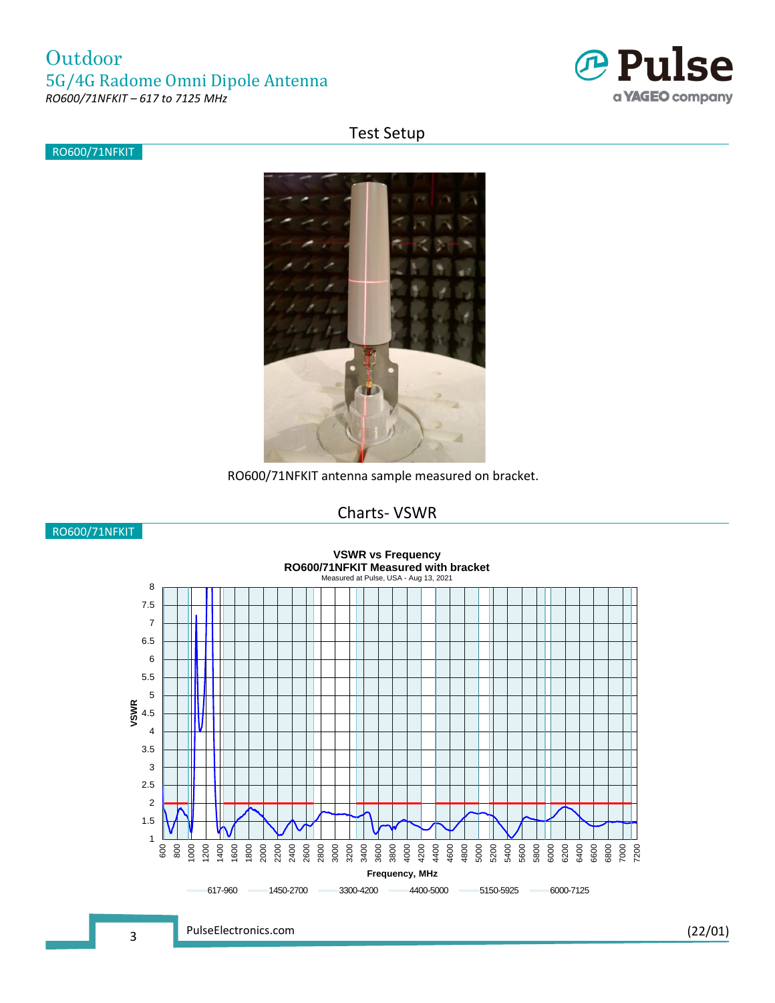

#### Test Setup

RO600/71NFKIT



RO600/71NFKIT antenna sample measured on bracket.

## Charts- VSWR



PulseElectronics.com (22/01)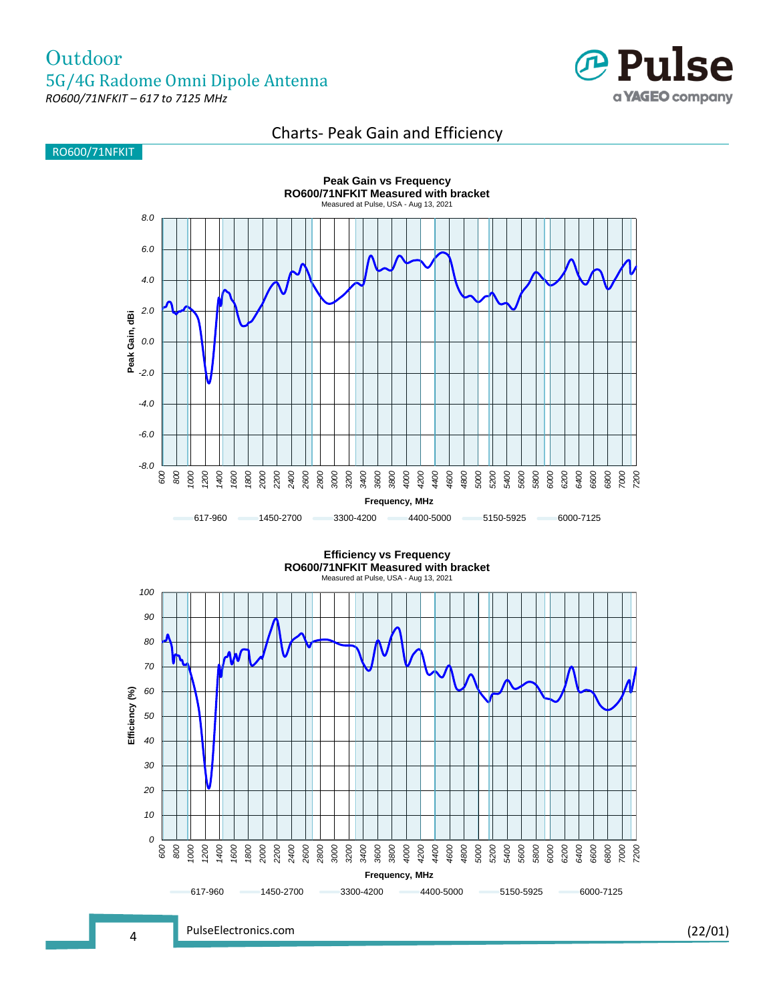

#### Charts- Peak Gain and Efficiency





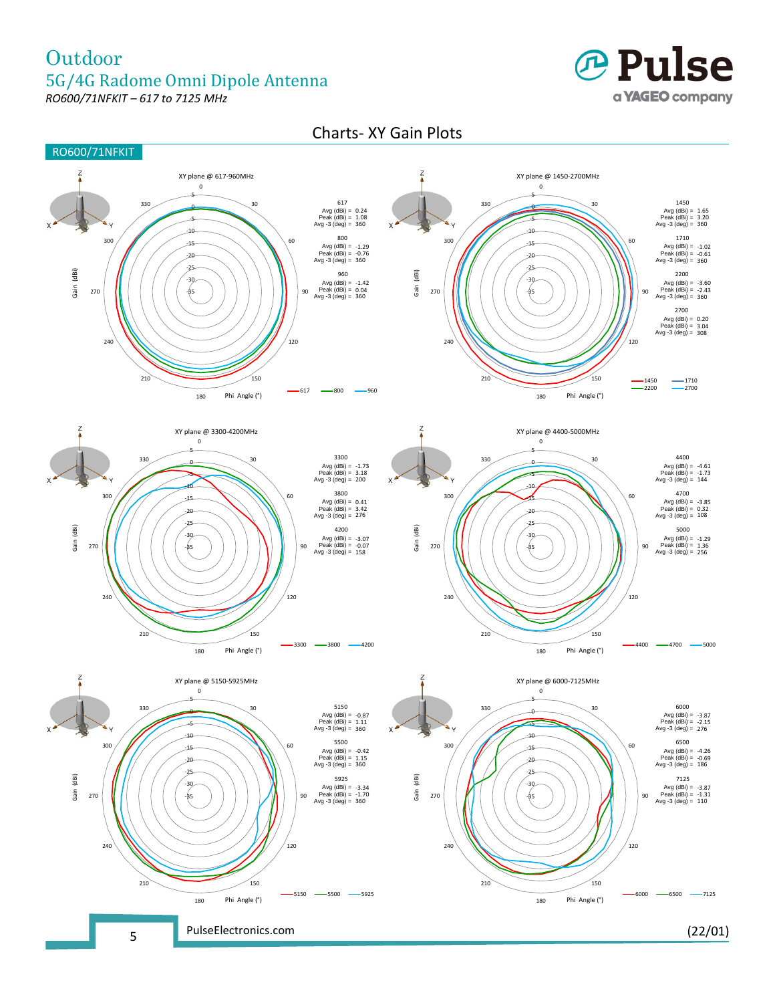# **Outdoor** 5G/4G Radome Omni Dipole Antenna

*RO600/71NFKIT – 617 to 7125 MHz*



### Charts- XY Gain Plots

![](_page_4_Figure_4.jpeg)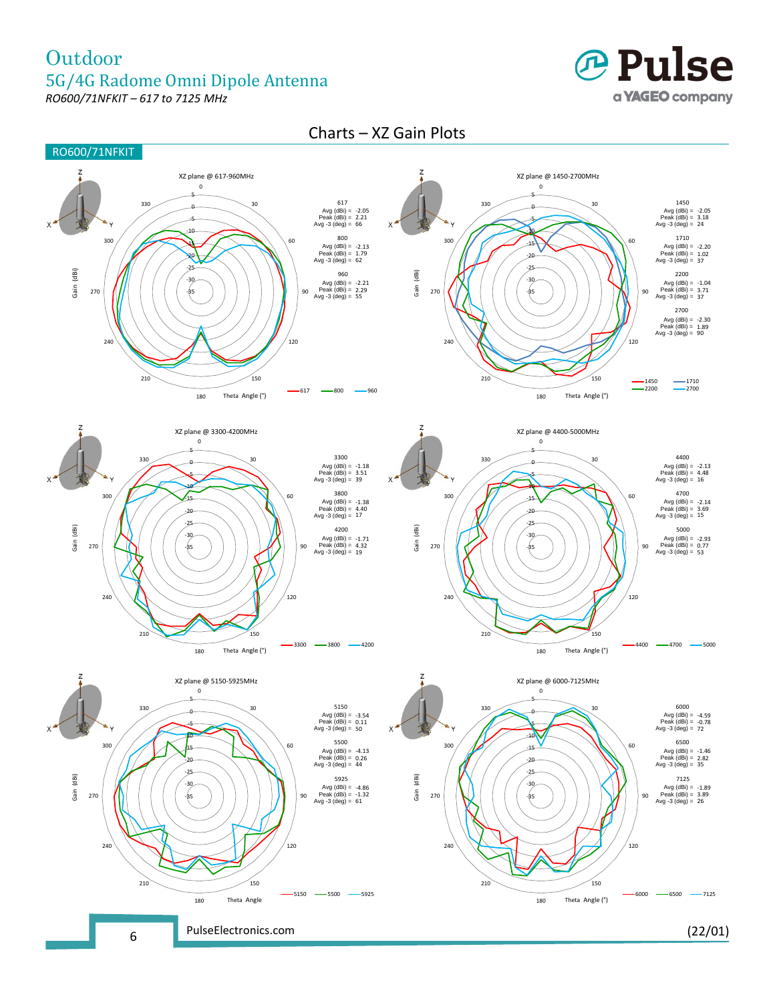# **Outdoor** 5G/4G Radome Omni Dipole Antenna

![](_page_5_Picture_1.jpeg)

![](_page_5_Picture_2.jpeg)

#### Charts – XZ Gain Plots

![](_page_5_Figure_4.jpeg)